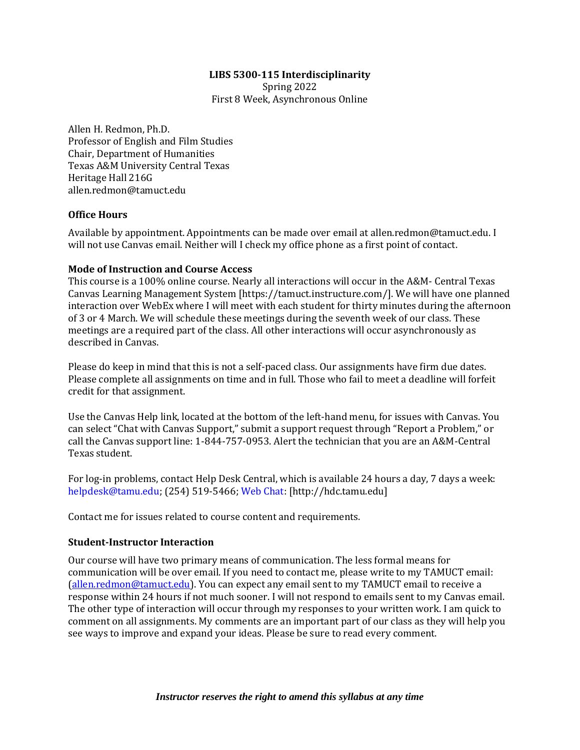### **LIBS 5300-115 Interdisciplinarity**

Spring 2022 First 8 Week, Asynchronous Online

Allen H. Redmon, Ph.D. Professor of English and Film Studies Chair, Department of Humanities Texas A&M University Central Texas Heritage Hall 216G allen.redmon@tamuct.edu

### **Office Hours**

Available by appointment. Appointments can be made over email at allen.redmon@tamuct.edu. I will not use Canvas email. Neither will I check my office phone as a first point of contact.

### **Mode of Instruction and Course Access**

This course is a 100% online course. Nearly all interactions will occur in the A&M- Central Texas Canvas Learning Management System [https://tamuct.instructure.com/]. We will have one planned interaction over WebEx where I will meet with each student for thirty minutes during the afternoon of 3 or 4 March. We will schedule these meetings during the seventh week of our class. These meetings are a required part of the class. All other interactions will occur asynchronously as described in Canvas.

Please do keep in mind that this is not a self-paced class. Our assignments have firm due dates. Please complete all assignments on time and in full. Those who fail to meet a deadline will forfeit credit for that assignment.

Use the Canvas Help link, located at the bottom of the left-hand menu, for issues with Canvas. You can select "Chat with Canvas Support," submit a support request through "Report a Problem," or call the Canvas support line: 1-844-757-0953. Alert the technician that you are an A&M-Central Texas student.

For log-in problems, contact Help Desk Central, which is available 24 hours a day, 7 days a week: helpdesk@tamu.edu; (254) 519-5466; Web Chat: [http://hdc.tamu.edu]

Contact me for issues related to course content and requirements.

# **Student-Instructor Interaction**

Our course will have two primary means of communication. The less formal means for communication will be over email. If you need to contact me, please write to my TAMUCT email: [\(allen.redmon@tamuct.edu\)](mailto:allen.redmon@tamuct.edu). You can expect any email sent to my TAMUCT email to receive a response within 24 hours if not much sooner. I will not respond to emails sent to my Canvas email. The other type of interaction will occur through my responses to your written work. I am quick to comment on all assignments. My comments are an important part of our class as they will help you see ways to improve and expand your ideas. Please be sure to read every comment.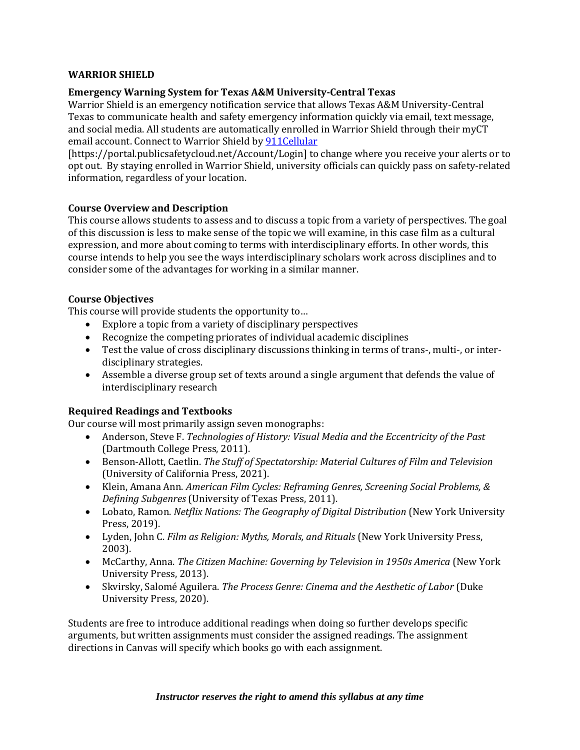### **WARRIOR SHIELD**

### **Emergency Warning System for Texas A&M University-Central Texas**

Warrior Shield is an emergency notification service that allows Texas A&M University-Central Texas to communicate health and safety emergency information quickly via email, text message, and social media. All students are automatically enrolled in Warrior Shield through their myCT email account. Connect to Warrior Shield b[y 911Cellular](https://portal.publicsafetycloud.net/Texas-AM-Central/alert-management)

[https://portal.publicsafetycloud.net/Account/Login] to change where you receive your alerts or to opt out. By staying enrolled in Warrior Shield, university officials can quickly pass on safety-related information, regardless of your location.

### **Course Overview and Description**

This course allows students to assess and to discuss a topic from a variety of perspectives. The goal of this discussion is less to make sense of the topic we will examine, in this case film as a cultural expression, and more about coming to terms with interdisciplinary efforts. In other words, this course intends to help you see the ways interdisciplinary scholars work across disciplines and to consider some of the advantages for working in a similar manner.

### **Course Objectives**

This course will provide students the opportunity to…

- Explore a topic from a variety of disciplinary perspectives
- Recognize the competing priorates of individual academic disciplines
- Test the value of cross disciplinary discussions thinking in terms of trans-, multi-, or interdisciplinary strategies.
- Assemble a diverse group set of texts around a single argument that defends the value of interdisciplinary research

# **Required Readings and Textbooks**

Our course will most primarily assign seven monographs:

- Anderson, Steve F. *Technologies of History: Visual Media and the Eccentricity of the Past* (Dartmouth College Press, 2011).
- Benson-Allott, Caetlin. *The Stuff of Spectatorship: Material Cultures of Film and Television* (University of California Press, 2021).
- Klein, Amana Ann. *American Film Cycles: Reframing Genres, Screening Social Problems, & Defining Subgenres* (University of Texas Press, 2011).
- Lobato, Ramon. *Netflix Nations: The Geography of Digital Distribution* (New York University Press, 2019).
- Lyden, John C. *Film as Religion: Myths, Morals, and Rituals* (New York University Press, 2003).
- McCarthy, Anna. *The Citizen Machine: Governing by Television in 1950s America* (New York University Press, 2013).
- Skvirsky, Salomé Aguilera. *The Process Genre: Cinema and the Aesthetic of Labor* (Duke University Press, 2020).

Students are free to introduce additional readings when doing so further develops specific arguments, but written assignments must consider the assigned readings. The assignment directions in Canvas will specify which books go with each assignment.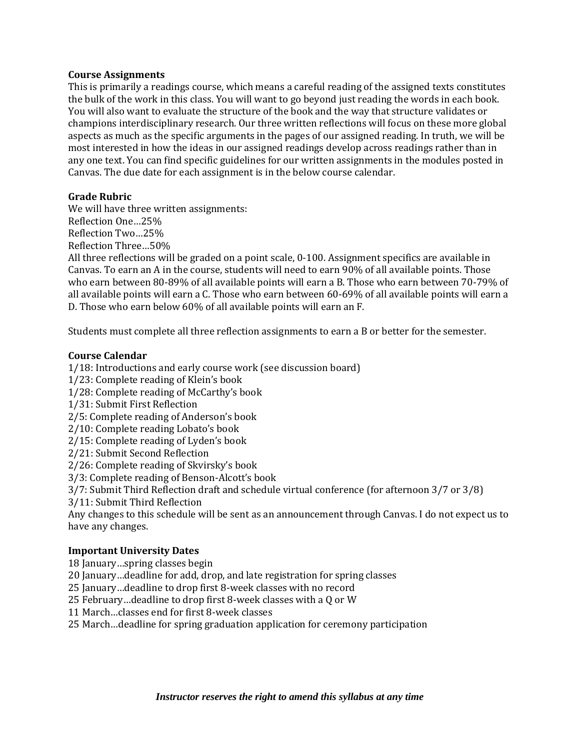#### **Course Assignments**

This is primarily a readings course, which means a careful reading of the assigned texts constitutes the bulk of the work in this class. You will want to go beyond just reading the words in each book. You will also want to evaluate the structure of the book and the way that structure validates or champions interdisciplinary research. Our three written reflections will focus on these more global aspects as much as the specific arguments in the pages of our assigned reading. In truth, we will be most interested in how the ideas in our assigned readings develop across readings rather than in any one text. You can find specific guidelines for our written assignments in the modules posted in Canvas. The due date for each assignment is in the below course calendar.

### **Grade Rubric**

We will have three written assignments: Reflection One…25% Reflection Two…25% Reflection Three…50% All three reflections will be graded on a point scale, 0-100. Assignment specifics are available in Canvas. To earn an A in the course, students will need to earn 90% of all available points. Those who earn between 80-89% of all available points will earn a B. Those who earn between 70-79% of all available points will earn a C. Those who earn between 60-69% of all available points will earn a D. Those who earn below 60% of all available points will earn an F.

Students must complete all three reflection assignments to earn a B or better for the semester.

### **Course Calendar**

1/18: Introductions and early course work (see discussion board)

1/23: Complete reading of Klein's book

1/28: Complete reading of McCarthy's book

1/31: Submit First Reflection

2/5: Complete reading of Anderson's book

2/10: Complete reading Lobato's book

2/15: Complete reading of Lyden's book

2/21: Submit Second Reflection

2/26: Complete reading of Skvirsky's book

3/3: Complete reading of Benson-Alcott's book

3/7: Submit Third Reflection draft and schedule virtual conference (for afternoon 3/7 or 3/8)

3/11: Submit Third Reflection

Any changes to this schedule will be sent as an announcement through Canvas. I do not expect us to have any changes.

# **Important University Dates**

18 January…spring classes begin

20 January…deadline for add, drop, and late registration for spring classes

25 January…deadline to drop first 8-week classes with no record

25 February…deadline to drop first 8-week classes with a Q or W

11 March…classes end for first 8-week classes

25 March…deadline for spring graduation application for ceremony participation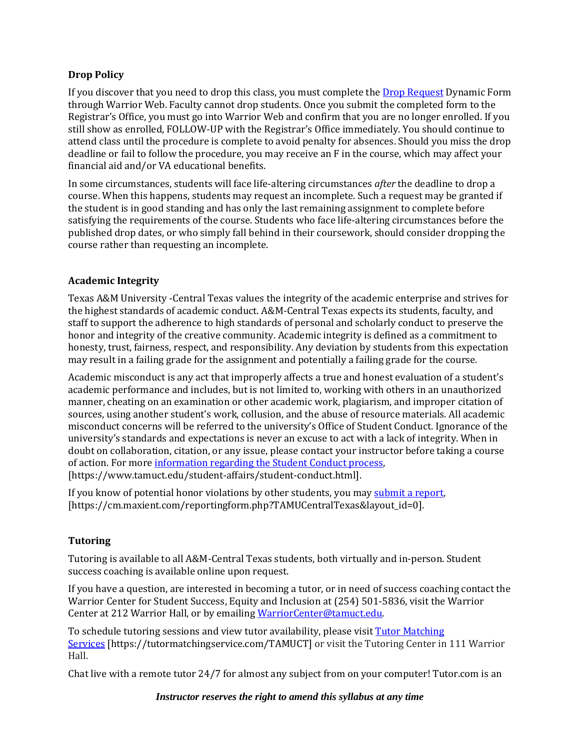# **Drop Policy**

If you discover that you need to drop this class, you must complete the [Drop Request](https://dynamicforms.ngwebsolutions.com/casAuthentication.ashx?InstID=eaed95b9-f2be-45f3-a37d-46928168bc10&targetUrl=https%3A%2F%2Fdynamicforms.ngwebsolutions.com%2FSubmit%2FForm%2FStart%2F53b8369e-0502-4f36-be43-f02a4202f612) Dynamic Form through Warrior Web. Faculty cannot drop students. Once you submit the completed form to the Registrar's Office, you must go into Warrior Web and confirm that you are no longer enrolled. If you still show as enrolled, FOLLOW-UP with the Registrar's Office immediately. You should continue to attend class until the procedure is complete to avoid penalty for absences. Should you miss the drop deadline or fail to follow the procedure, you may receive an F in the course, which may affect your financial aid and/or VA educational benefits.

In some circumstances, students will face life-altering circumstances *after* the deadline to drop a course. When this happens, students may request an incomplete. Such a request may be granted if the student is in good standing and has only the last remaining assignment to complete before satisfying the requirements of the course. Students who face life-altering circumstances before the published drop dates, or who simply fall behind in their coursework, should consider dropping the course rather than requesting an incomplete.

### **Academic Integrity**

Texas A&M University -Central Texas values the integrity of the academic enterprise and strives for the highest standards of academic conduct. A&M-Central Texas expects its students, faculty, and staff to support the adherence to high standards of personal and scholarly conduct to preserve the honor and integrity of the creative community. Academic integrity is defined as a commitment to honesty, trust, fairness, respect, and responsibility. Any deviation by students from this expectation may result in a failing grade for the assignment and potentially a failing grade for the course.

Academic misconduct is any act that improperly affects a true and honest evaluation of a student's academic performance and includes, but is not limited to, working with others in an unauthorized manner, cheating on an examination or other academic work, plagiarism, and improper citation of sources, using another student's work, collusion, and the abuse of resource materials. All academic misconduct concerns will be referred to the university's Office of Student Conduct. Ignorance of the university's standards and expectations is never an excuse to act with a lack of integrity. When in doubt on collaboration, citation, or any issue, please contact your instructor before taking a course of action. For mor[e information regarding the Student Conduct process,](https://www.tamuct.edu/student-affairs/student-conduct.html)  [https://www.tamuct.edu/student-affairs/student-conduct.html].

If you know of potential honor violations by other students, you may [submit a report,](https://cm.maxient.com/reportingform.php?TAMUCentralTexas&layout_id=0)  [https://cm.maxient.com/reportingform.php?TAMUCentralTexas&layout\_id=0].

#### **Tutoring**

Tutoring is available to all A&M-Central Texas students, both virtually and in-person. Student success coaching is available online upon request.

If you have a question, are interested in becoming a tutor, or in need of success coaching contact the Warrior Center for Student Success, Equity and Inclusion at (254) 501-5836, visit the Warrior Center at 212 Warrior Hall, or by emailing [WarriorCenter@tamuct.edu.](mailto:WarriorCenter@tamuct.edu)

To schedule tutoring sessions and view tutor availability, please visit Tutor [Matching](https://nam04.safelinks.protection.outlook.com/?url=http%3A%2F%2Fwww.tutormatchingservices.com%2FTAMUCT&data=04%7C01%7Clisa.bunkowski%40tamuct.edu%7C886784139069461670c308d9aa01f55e%7C9eed4e3000f744849ff193ad8005acec%7C0%7C0%7C637727747643427346%7CUnknown%7CTWFpbGZsb3d8eyJWIjoiMC4wLjAwMDAiLCJQIjoiV2luMzIiLCJBTiI6Ik1haWwiLCJXVCI6Mn0%3D%7C3000&sdata=D%2F8HN2bUT1lLPfs5qSqKYlwh8a7pZVy7isM2gppluQE%3D&reserved=0) [Services](https://nam04.safelinks.protection.outlook.com/?url=http%3A%2F%2Fwww.tutormatchingservices.com%2FTAMUCT&data=04%7C01%7Clisa.bunkowski%40tamuct.edu%7C886784139069461670c308d9aa01f55e%7C9eed4e3000f744849ff193ad8005acec%7C0%7C0%7C637727747643427346%7CUnknown%7CTWFpbGZsb3d8eyJWIjoiMC4wLjAwMDAiLCJQIjoiV2luMzIiLCJBTiI6Ik1haWwiLCJXVCI6Mn0%3D%7C3000&sdata=D%2F8HN2bUT1lLPfs5qSqKYlwh8a7pZVy7isM2gppluQE%3D&reserved=0) [https://tutormatchingservice.com/TAMUCT] or visit the Tutoring Center in 111 Warrior Hall.

Chat live with a remote tutor 24/7 for almost any subject from on your computer! Tutor.com is an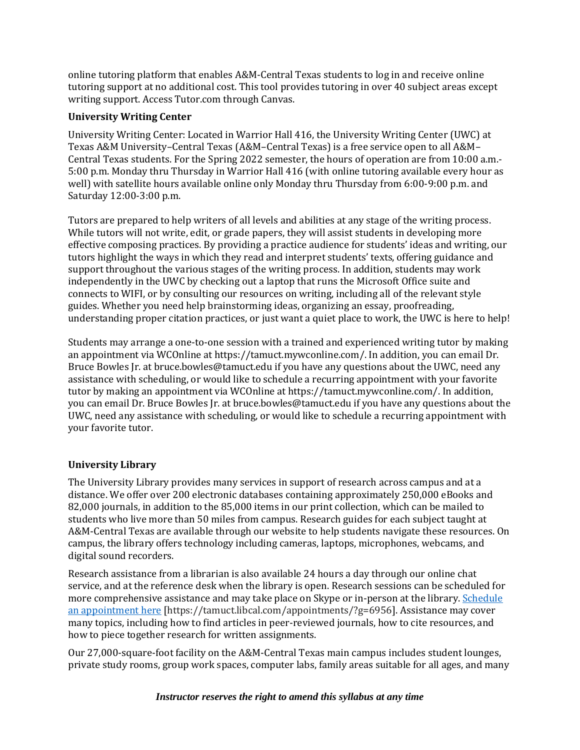online tutoring platform that enables A&M-Central Texas students to log in and receive online tutoring support at no additional cost. This tool provides tutoring in over 40 subject areas except writing support. Access Tutor.com through Canvas.

### **University Writing Center**

University Writing Center: Located in Warrior Hall 416, the University Writing Center (UWC) at Texas A&M University–Central Texas (A&M–Central Texas) is a free service open to all A&M– Central Texas students. For the Spring 2022 semester, the hours of operation are from 10:00 a.m.- 5:00 p.m. Monday thru Thursday in Warrior Hall 416 (with online tutoring available every hour as well) with satellite hours available online only Monday thru Thursday from 6:00-9:00 p.m. and Saturday 12:00-3:00 p.m.

Tutors are prepared to help writers of all levels and abilities at any stage of the writing process. While tutors will not write, edit, or grade papers, they will assist students in developing more effective composing practices. By providing a practice audience for students' ideas and writing, our tutors highlight the ways in which they read and interpret students' texts, offering guidance and support throughout the various stages of the writing process. In addition, students may work independently in the UWC by checking out a laptop that runs the Microsoft Office suite and connects to WIFI, or by consulting our resources on writing, including all of the relevant style guides. Whether you need help brainstorming ideas, organizing an essay, proofreading, understanding proper citation practices, or just want a quiet place to work, the UWC is here to help!

Students may arrange a one-to-one session with a trained and experienced writing tutor by making an appointment via WCOnline at https://tamuct.mywconline.com/. In addition, you can email Dr. Bruce Bowles Jr. at bruce.bowles@tamuct.edu if you have any questions about the UWC, need any assistance with scheduling, or would like to schedule a recurring appointment with your favorite tutor by making an appointment via WCOnline at https://tamuct.mywconline.com/. In addition, you can email Dr. Bruce Bowles Jr. at bruce.bowles@tamuct.edu if you have any questions about the UWC, need any assistance with scheduling, or would like to schedule a recurring appointment with your favorite tutor.

# **University Library**

The University Library provides many services in support of research across campus and at a distance. We offer over 200 electronic databases containing approximately 250,000 eBooks and 82,000 journals, in addition to the 85,000 items in our print collection, which can be mailed to students who live more than 50 miles from campus. Research guides for each subject taught at A&M-Central Texas are available through our website to help students navigate these resources. On campus, the library offers technology including cameras, laptops, microphones, webcams, and digital sound recorders.

Research assistance from a librarian is also available 24 hours a day through our online chat service, and at the reference desk when the library is open. Research sessions can be scheduled for more comprehensive assistance and may take place on Skype or in-person at the library. [Schedule](https://nam04.safelinks.protection.outlook.com/?url=https%3A%2F%2Ftamuct.libcal.com%2Fappointments%2F%3Fg%3D6956&data=04%7C01%7Clisa.bunkowski%40tamuct.edu%7Cde2c07d9f5804f09518008d9ab7ba6ff%7C9eed4e3000f744849ff193ad8005acec%7C0%7C0%7C637729369835011558%7CUnknown%7CTWFpbGZsb3d8eyJWIjoiMC4wLjAwMDAiLCJQIjoiV2luMzIiLCJBTiI6Ik1haWwiLCJXVCI6Mn0%3D%7C3000&sdata=KhtjgRSAw9aq%2FoBsB6wyu8b7PSuGN5EGPypzr3Ty2No%3D&reserved=0) an [appointment](https://nam04.safelinks.protection.outlook.com/?url=https%3A%2F%2Ftamuct.libcal.com%2Fappointments%2F%3Fg%3D6956&data=04%7C01%7Clisa.bunkowski%40tamuct.edu%7Cde2c07d9f5804f09518008d9ab7ba6ff%7C9eed4e3000f744849ff193ad8005acec%7C0%7C0%7C637729369835011558%7CUnknown%7CTWFpbGZsb3d8eyJWIjoiMC4wLjAwMDAiLCJQIjoiV2luMzIiLCJBTiI6Ik1haWwiLCJXVCI6Mn0%3D%7C3000&sdata=KhtjgRSAw9aq%2FoBsB6wyu8b7PSuGN5EGPypzr3Ty2No%3D&reserved=0) here [https://tamuct.libcal.com/appointments/?g=6956]. Assistance may cover many topics, including how to find articles in peer-reviewed journals, how to cite resources, and how to piece together research for written assignments.

Our 27,000-square-foot facility on the A&M-Central Texas main campus includes student lounges, private study rooms, group work spaces, computer labs, family areas suitable for all ages, and many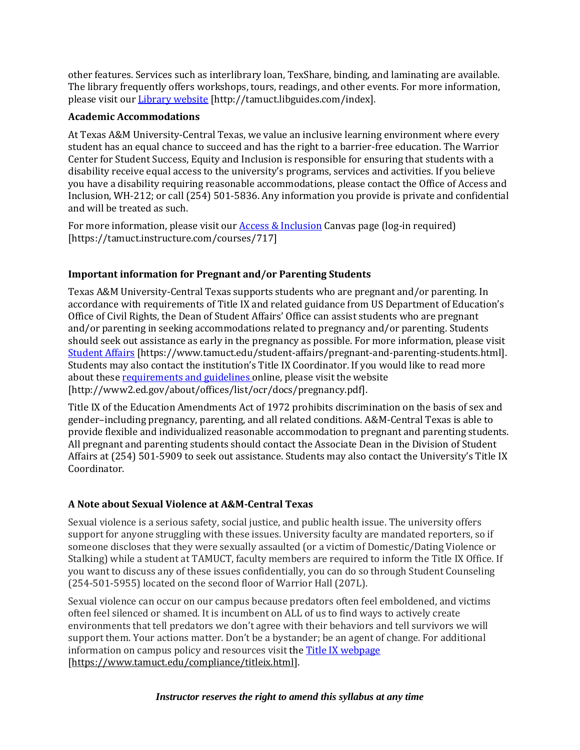other features. Services such as interlibrary loan, TexShare, binding, and laminating are available. The library frequently offers workshops, tours, readings, and other events. For more information, please visit our Library [website](https://tamuct.libguides.com/index) [http://tamuct.libguides.com/index].

### **Academic Accommodations**

At Texas A&M University-Central Texas, we value an inclusive learning environment where every student has an equal chance to succeed and has the right to a barrier-free education. The Warrior Center for Student Success, Equity and Inclusion is responsible for ensuring that students with a disability receive equal access to the university's programs, services and activities. If you believe you have a disability requiring reasonable accommodations, please contact the Office of Access and Inclusion, WH-212; or call (254) 501-5836. Any information you provide is private and confidential and will be treated as such.

For more information, please visit ou[r Access & Inclusion](https://tamuct.instructure.com/courses/717) Canvas page (log-in required) [https://tamuct.instructure.com/courses/717]

# **Important information for Pregnant and/or Parenting Students**

Texas A&M University-Central Texas supports students who are pregnant and/or parenting. In accordance with requirements of Title IX and related guidance from US Department of Education's Office of Civil Rights, the Dean of Student Affairs' Office can assist students who are pregnant and/or parenting in seeking accommodations related to pregnancy and/or parenting. Students should seek out assistance as early in the pregnancy as possible. For more information, please visit [Student Affairs](https://www.tamuct.edu/student-affairs/pregnant-and-parenting-students.html) [https://www.tamuct.edu/student-affairs/pregnant-and-parenting-students.html]. Students may also contact the institution's Title IX Coordinator. If you would like to read more about these [requirements and guidelines](http://www2.ed.gov/about/offices/list/ocr/docs/pregnancy.pdf) online, please visit the website [http://www2.ed.gov/about/offices/list/ocr/docs/pregnancy.pdf].

Title IX of the Education Amendments Act of 1972 prohibits discrimination on the basis of sex and gender–including pregnancy, parenting, and all related conditions. A&M-Central Texas is able to provide flexible and individualized reasonable accommodation to pregnant and parenting students. All pregnant and parenting students should contact the Associate Dean in the Division of Student Affairs at (254) 501-5909 to seek out assistance. Students may also contact the University's Title IX Coordinator.

# **A Note about Sexual Violence at A&M-Central Texas**

Sexual violence is a serious safety, social justice, and public health issue. The university offers support for anyone struggling with these issues. University faculty are mandated reporters, so if someone discloses that they were sexually assaulted (or a victim of Domestic/Dating Violence or Stalking) while a student at TAMUCT, faculty members are required to inform the Title IX Office. If you want to discuss any of these issues confidentially, you can do so through Student Counseling (254-501-5955) located on the second floor of Warrior Hall (207L).

Sexual violence can occur on our campus because predators often feel emboldened, and victims often feel silenced or shamed. It is incumbent on ALL of us to find ways to actively create environments that tell predators we don't agree with their behaviors and tell survivors we will support them. Your actions matter. Don't be a bystander; be an agent of change. For additional information on campus policy and resources visit the [Title IX webpage](https://www.tamuct.edu/compliance/titleix.html) [\[https://www.tamuct.edu/compliance/titleix.html\]](https://www.tamuct.edu/compliance/titleix.html).